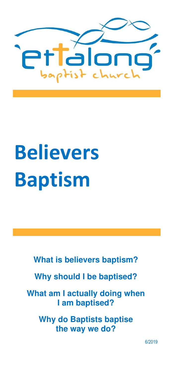

# **Believers Baptism**

**What is believers baptism?** 

**Why should I be baptised?** 

**What am I actually doing when I am baptised?** 

**Why do Baptists baptise the way we do?** 

6/2019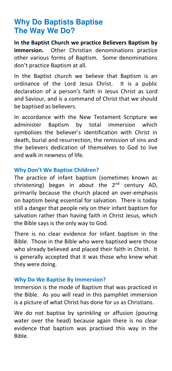## **Why Do Baptists Baptise The Way We Do?**

**In the Baptist Church we practice Believers Baptism by immersion.** Other Christian denominations practice other various forms of Baptism. Some denominations don't practice Baptism at all.

In the Baptist church we believe that Baptism is an ordinance of the Lord Jesus Christ. It is a public declaration of a person's faith in Jesus Christ as Lord and Saviour, and is a command of Christ that we should be baptised as believers.

In accordance with the New Testament Scripture we administer Baptism by total immersion which symbolises the believer's identification with Christ in death, burial and resurrection, the remission of sins and the believers dedication of themselves to God to live and walk in newness of life.

## **Why Don't We Baptise Children?**

The practice of infant baptism (sometimes known as christening) began in about the  $2^{nd}$  century AD, primarily because the church placed an over-emphasis on baptism being essential for salvation. There is today still a danger that people rely on their infant baptism for salvation rather than having faith in Christ Jesus, which the Bible says is the only way to God.

There is no clear evidence for infant baptism in the Bible. Those in the Bible who were baptised were those who already believed and placed their faith in Christ. It is generally accepted that it was those who knew what they were doing.

## **Why Do We Baptise By Immersion?**

Immersion is the mode of Baptism that was practiced in the Bible. As you will read in this pamphlet immersion is a picture of what Christ has done for us as Christians.

We do not baptise by sprinkling or affusion (pouring water over the head) because again there is no clear evidence that baptism was practised this way in the Bible.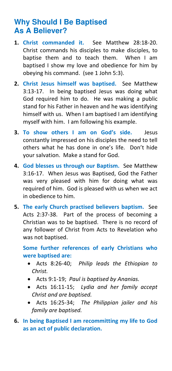# **Why Should I Be Baptised As A Believer?**

- **1. Christ commanded it.** See Matthew 28:18-20. Christ commands his disciples to make disciples, to baptise them and to teach them. When I am baptised I show my love and obedience for him by obeying his command. (see 1 John 5:3).
- **2. Christ Jesus himself was baptised.** See Matthew 3:13-17. In being baptised Jesus was doing what God required him to do. He was making a public stand for his Father in heaven and he was identifying himself with us. When I am baptised I am identifying myself with him. I am following his example.
- **3. To show others I am on God's side.** Jesus constantly impressed on his disciples the need to tell others what he has done in one's life. Don't hide your salvation. Make a stand for God.
- **4. God blesses us through our Baptism.** See Matthew 3:16-17. When Jesus was Baptised, God the Father was very pleased with him for doing what was required of him. God is pleased with us when we act in obedience to him.
- **5. The early Church practised believers baptism.** See Acts 2:37-38. Part of the process of becoming a Christian was to be baptised. There is no record of any follower of Christ from Acts to Revelation who was not baptised.

**Some further references of early Christians who were baptised are:** 

- Acts 8:26-40; *Philip leads the Ethiopian to Christ.*
- Acts 9:1-19; *Paul is baptised by Ananias.*
- Acts 16:11-15; *Lydia and her family accept Christ and are baptised.*
- Acts 16:25-34; *The Philippian jailer and his family are baptised.*
- **6. In being Baptised I am recommitting my life to God as an act of public declaration.**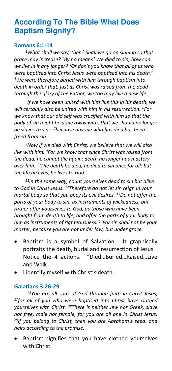# **According To The Bible What Does Baptism Signify?**

#### **Romans 6:1-14**

*<sup>1</sup>What shall we say, then? Shall we go on sinning so that grace may increase? <sup>2</sup>By no means! We died to sin; how can we live in it any longer? <sup>3</sup>Or don't you know that all of us who were baptised into Christ Jesus were baptised into his death? <sup>4</sup>We were therefore buried with him through baptism into death in order that, just as Christ was raised from the dead through the glory of the Father, we too may live a new life.* 

*5 If we have been united with him like this in his death, we will certainly also be united with him in his resurrection. <sup>6</sup>For we know that our old self was crucified with him so that the body of sin might be done away with, that we should no longer be slaves to sin—<sup>7</sup>because anyone who has died has been freed from sin.* 

*<sup>8</sup>Now if we died with Christ, we believe that we will also live with him. <sup>9</sup>For we know that since Christ was raised from the dead, he cannot die again; death no longer has mastery over him. <sup>10</sup>The death he died, he died to sin once for all; but the life he lives, he lives to God.* 

*<sup>11</sup>In the same way, count yourselves dead to sin but alive to God in Christ Jesus. <sup>12</sup>Therefore do not let sin reign in your mortal body so that you obey its evil desires. <sup>13</sup>Do not offer the parts of your body to sin, as instruments of wickedness, but rather offer yourselves to God, as those who have been brought from death to life; and offer the parts of your body to him as instruments of righteousness. <sup>14</sup>For sin shall not be your master, because you are not under law, but under grace.* 

- Baptism is a symbol of Salvation. It graphically portraits the death, burial and resurrection of Jesus. Notice the 4 actions. "Died…Buried…Raised…Live and Walk
- I identify myself with Christ's death.

## **Galatians 3:26-29**

*<sup>26</sup>You are all sons of God through faith in Christ Jesus, <sup>27</sup>for all of you who were baptised into Christ have clothed yourselves with Christ. <sup>28</sup>There is neither Jew nor Greek, slave nor free, male nor female, for you are all one in Christ Jesus. <sup>29</sup>If you belong to Christ, then you are Abraham's seed, and heirs according to the promise.* 

• Baptism signifies that you have clothed yourselves with Christ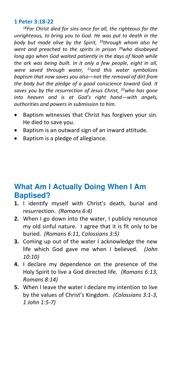#### **1 Peter 3:18-22**

*<sup>18</sup>For Christ died for sins once for all, the righteous for the unrighteous, to bring you to God. He was put to death in the body but made alive by the Spirit, <sup>19</sup>through whom also he went and preached to the spirits in prison <sup>20</sup>who disobeyed long ago when God waited patiently in the days of Noah while the ark was being built. In it only a few people, eight in all, were saved through water, <sup>21</sup>and this water symbolizes baptism that now saves you also—not the removal of dirt from the body but the pledge of a good conscience toward God. It saves you by the resurrection of Jesus Christ, <sup>22</sup>who has gone into heaven and is at God's right hand—with angels, authorities and powers in submission to him.* 

- Baptism witnesses that Christ has forgiven your sin. He died to save you.
- Baptism is an outward sign of an inward attitude.
- Baptism is a pledge of allegiance.

# **What Am I Actually Doing When I Am Baptised?**

- **1.** I identify myself with Christ's death, burial and resurrection. *(Romans 6:4)*
- **2.** When I go down into the water, I publicly renounce my old sinful nature. I agree that it is fit only to be buried. *(Romans 6:11, Colossians 3:5)*
- **3.** Coming up out of the water I acknowledge the new life which God gave me when I believed. *(John 10:10)*
- **4.** I declare my dependence on the presence of the Holy Spirit to live a God directed life. *(Romans 6:13, Romans 8:14)*
- **5.** When I leave the water I declare my intention to live by the values of Christ's Kingdom. *(Colossians 3:1-3, 1 John 1:5-7)*